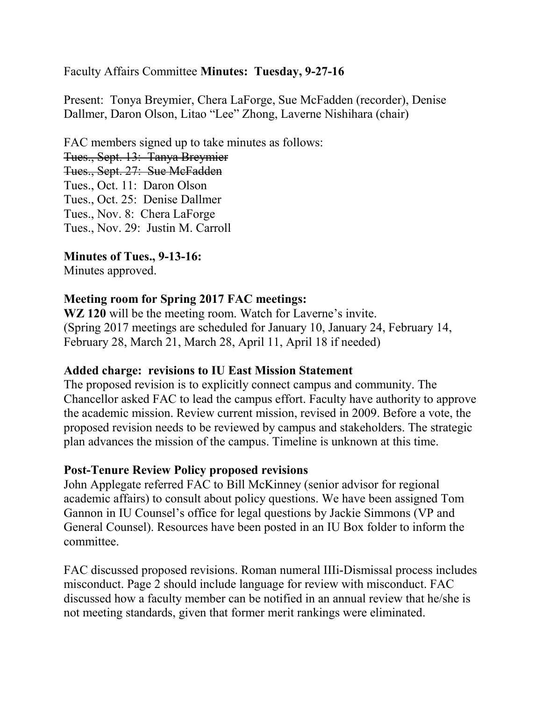# Faculty Affairs Committee **Minutes: Tuesday, 9-27-16**

Present: Tonya Breymier, Chera LaForge, Sue McFadden (recorder), Denise Dallmer, Daron Olson, Litao "Lee" Zhong, Laverne Nishihara (chair)

FAC members signed up to take minutes as follows: Tues., Sept. 13: Tanya Breymier Tues., Sept. 27: Sue McFadden Tues., Oct. 11: Daron Olson Tues., Oct. 25: Denise Dallmer Tues., Nov. 8: Chera LaForge Tues., Nov. 29: Justin M. Carroll

**Minutes of Tues., 9-13-16:**

Minutes approved.

### **Meeting room for Spring 2017 FAC meetings:**

**WZ 120** will be the meeting room. Watch for Laverne's invite. (Spring 2017 meetings are scheduled for January 10, January 24, February 14, February 28, March 21, March 28, April 11, April 18 if needed)

### **Added charge: revisions to IU East Mission Statement**

The proposed revision is to explicitly connect campus and community. The Chancellor asked FAC to lead the campus effort. Faculty have authority to approve the academic mission. Review current mission, revised in 2009. Before a vote, the proposed revision needs to be reviewed by campus and stakeholders. The strategic plan advances the mission of the campus. Timeline is unknown at this time.

### **Post-Tenure Review Policy proposed revisions**

John Applegate referred FAC to Bill McKinney (senior advisor for regional academic affairs) to consult about policy questions. We have been assigned Tom Gannon in IU Counsel's office for legal questions by Jackie Simmons (VP and General Counsel). Resources have been posted in an IU Box folder to inform the committee.

FAC discussed proposed revisions. Roman numeral IIIi-Dismissal process includes misconduct. Page 2 should include language for review with misconduct. FAC discussed how a faculty member can be notified in an annual review that he/she is not meeting standards, given that former merit rankings were eliminated.